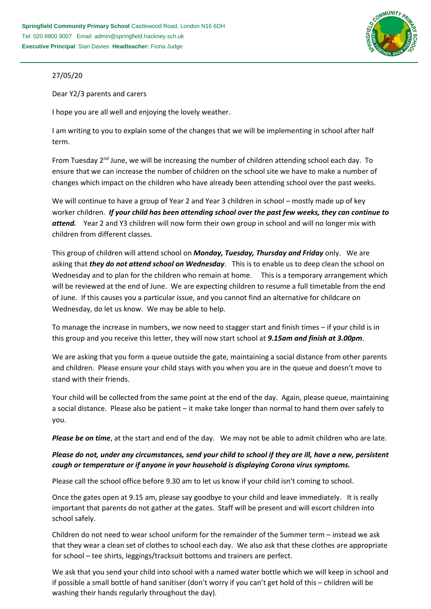

## 27/05/20

Dear Y2/3 parents and carers

I hope you are all well and enjoying the lovely weather.

I am writing to you to explain some of the changes that we will be implementing in school after half term.

From Tuesday  $2<sup>nd</sup>$  June, we will be increasing the number of children attending school each day. To ensure that we can increase the number of children on the school site we have to make a number of changes which impact on the children who have already been attending school over the past weeks.

We will continue to have a group of Year 2 and Year 3 children in school – mostly made up of key worker children. *If your child has been attending school over the past few weeks, they can continue to attend.* Year 2 and Y3 children will now form their own group in school and will no longer mix with children from different classes.

This group of children will attend school on *Monday, Tuesday, Thursday and Friday* only. We are asking that *they do not attend school on Wednesday*. This is to enable us to deep clean the school on Wednesday and to plan for the children who remain at home. This is a temporary arrangement which will be reviewed at the end of June. We are expecting children to resume a full timetable from the end of June. If this causes you a particular issue, and you cannot find an alternative for childcare on Wednesday, do let us know. We may be able to help.

To manage the increase in numbers, we now need to stagger start and finish times – if your child is in this group and you receive this letter, they will now start school at *9.15am and finish at 3.00pm*.

We are asking that you form a queue outside the gate, maintaining a social distance from other parents and children. Please ensure your child stays with you when you are in the queue and doesn't move to stand with their friends.

Your child will be collected from the same point at the end of the day. Again, please queue, maintaining a social distance. Please also be patient – it make take longer than normal to hand them over safely to you.

*Please be on time*, at the start and end of the day. We may not be able to admit children who are late.

## *Please do not, under any circumstances, send your child to school if they are ill, have a new, persistent cough or temperature or if anyone in your household is displaying Corona virus symptoms.*

Please call the school office before 9.30 am to let us know if your child isn't coming to school.

Once the gates open at 9.15 am, please say goodbye to your child and leave immediately. It is really important that parents do not gather at the gates. Staff will be present and will escort children into school safely.

Children do not need to wear school uniform for the remainder of the Summer term – instead we ask that they wear a clean set of clothes to school each day. We also ask that these clothes are appropriate for school – tee shirts, leggings/tracksuit bottoms and trainers are perfect.

We ask that you send your child into school with a named water bottle which we will keep in school and if possible a small bottle of hand sanitiser (don't worry if you can't get hold of this – children will be washing their hands regularly throughout the day).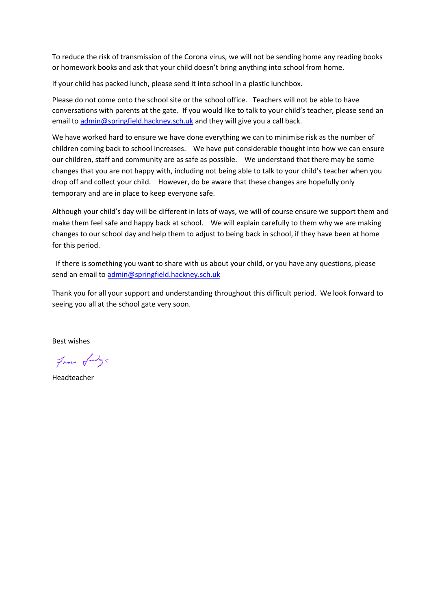To reduce the risk of transmission of the Corona virus, we will not be sending home any reading books or homework books and ask that your child doesn't bring anything into school from home.

If your child has packed lunch, please send it into school in a plastic lunchbox.

Please do not come onto the school site or the school office. Teachers will not be able to have conversations with parents at the gate. If you would like to talk to your child's teacher, please send an email to [admin@springfield.hackney.sch.uk](mailto:admin@springfield.hackney.sch.uk) and they will give you a call back.

We have worked hard to ensure we have done everything we can to minimise risk as the number of children coming back to school increases. We have put considerable thought into how we can ensure our children, staff and community are as safe as possible. We understand that there may be some changes that you are not happy with, including not being able to talk to your child's teacher when you drop off and collect your child. However, do be aware that these changes are hopefully only temporary and are in place to keep everyone safe.

Although your child's day will be different in lots of ways, we will of course ensure we support them and make them feel safe and happy back at school. We will explain carefully to them why we are making changes to our school day and help them to adjust to being back in school, if they have been at home for this period.

 If there is something you want to share with us about your child, or you have any questions, please send an email to [admin@springfield.hackney.sch.uk](mailto:admin@springfield.hackney.sch.uk) 

Thank you for all your support and understanding throughout this difficult period. We look forward to seeing you all at the school gate very soon.

Best wishes

From fudge

Headteacher